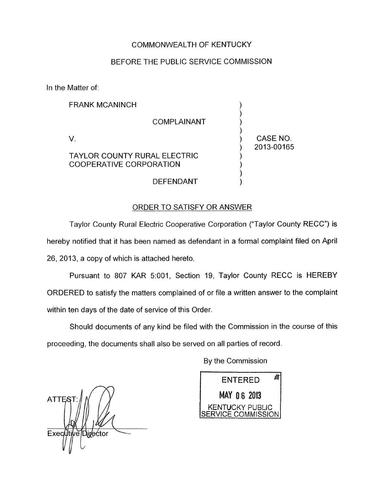## COMMONWEALTH OF KENTUCKY

### BEFORE THE PUBLIC SERVICE COMMISSION

In the Matter of:

| FRANK MCANINCH                                          |                        |
|---------------------------------------------------------|------------------------|
| <b>COMPLAINANT</b>                                      |                        |
| V.                                                      | CASE NO.<br>2013-00165 |
| TAYLOR COUNTY RURAL ELECTRIC<br>COOPERATIVE CORPORATION |                        |
| <b>DEFENDANT</b>                                        |                        |

### ORDER TO SATISFY OR ANSWER

Taylor County Rural Electric Cooperative Corporation ("Taylor County RECC") is hereby notified that it has been named as defendant in a formal complaint filed on April 26, 2013, a copy of which is attached hereto.

Pursuant to 807 KAR 5:001, Section 19, Taylor County RECC is HEREBY ORDERED to satisfy the matters complained of or file a written answer to the complaint within ten days of the date of service of this Order.

Should documents of any kind be filed with the Commission in the course of this proceeding, the documents shall also be served on all parties of record.

By the Commission

**ATTES** ExectityelDigector

Лł **ENTERED MAY 06 2013** KENTUCKY PUBLIC **ICE COMMISSION**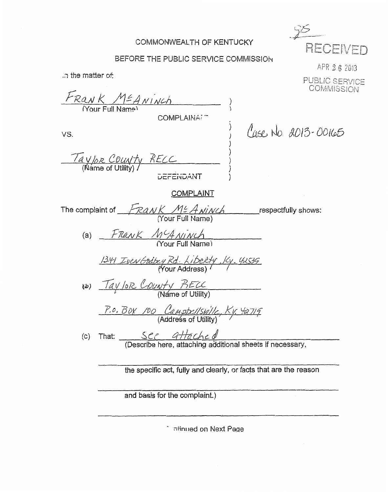## COMMONWEALTH OF KENTUCKY

RECEIVED

## BEFORE THE PUBLIC SERVICE COMMISSION

APR 26 2013 .n the matter of: PUBLIC SERVICE **COMMISSION** FRANK MEANINCH COMPLAINA<sup>7</sup> Cuse No. 2013-00165 VS. Taylor County RECC<br>(Name of Utility) **EFENDANT** COMPLAINT The complaint of  $\frac{\sqrt{P^2A_N/N}}{N}$   $\frac{M}{N}$   $\frac{M}{N}$   $\frac{M}{N}$   $\frac{M}{N}$   $\frac{M}{N}$   $\frac{M}{N}$ (a)  $F$ Rank  $M$ <sup>C</sup>A Ninch 1341 Iven Godbey Rd. Liberty, Kv. 42535 (b) Taylor County BECC P.O. BOY 100 Campbellsville, Kv. 42719 (c) That:  $\frac{\mathcal{SCL}}{\mathcal{A} + \mathcal{A} + \mathcal{A}}$  (Describe here, attaching additional sheets if necessary, the specific act, fully and clearly, or facts that are the reason

and basis for the complaint.)

**Catinued on Next Page**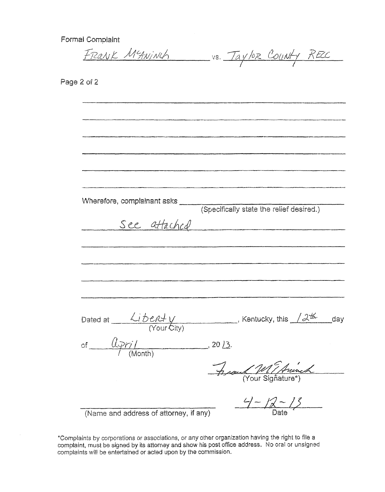Formal Complaint

FRANK MEANINCH VS. TAYLOR COUNTY RECC

Page 2 of 2

| Wherefore, complainant asks ______                                                                 |                                          |  |
|----------------------------------------------------------------------------------------------------|------------------------------------------|--|
|                                                                                                    | (Specifically state the relief desired.) |  |
|                                                                                                    | See attached                             |  |
|                                                                                                    |                                          |  |
|                                                                                                    |                                          |  |
|                                                                                                    |                                          |  |
|                                                                                                    |                                          |  |
|                                                                                                    |                                          |  |
|                                                                                                    |                                          |  |
|                                                                                                    |                                          |  |
|                                                                                                    |                                          |  |
| Dated at $\frac{\sqrt{j}b(t)\sqrt{l}}{(Y\text{our }C\text{itv})}$ , Kentucky, this $\sqrt{dK}$ day |                                          |  |
|                                                                                                    |                                          |  |
| of $\frac{(\lambda p r)}{n}$ (Month) 20 13.                                                        |                                          |  |
|                                                                                                    |                                          |  |
|                                                                                                    | Assemble Marmet                          |  |
|                                                                                                    |                                          |  |
|                                                                                                    |                                          |  |
|                                                                                                    | $9 - 12 - 13$                            |  |
| (Name and address of attorney, if any)                                                             | Date                                     |  |

\*Complaints by corporations or associations, or any other organization having the right to file a complaint, must be signed by its attorney and show his post office address. No oral or unsigned complaints will be entertained or acted upon by the commission.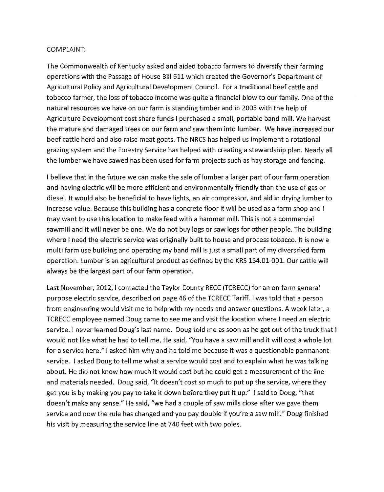#### COMPLAINT:

The Commonwealth of Kentucky asked and aided tobacco farmers to diversify their farming operations with the Passage of House Bill 611 which created the Governor's Department of Agricultural Policy and Agricultural Development Council. For a traditional beef cattle and tobacco farmer, the loss of tobacco income was quite a financial blow to our famity. One *of* the natural resources we have on our farm is standing timber and in 2003 with the help of Agriculture Development cost share funds **I** purchased a small, portable band mill. We harvest the mature and damaged trees on our farm and saw them into lumber. We have increased our beef cattle herd and also raise meat goats. The NRCS has helped us implement a rotational grazing system and the Forestry Service has helped with creating a stewardship plan. Nearly all the lumber we have sawed has been used for farm projects such as hay storage and fencing.

I believe that in the future we can make the sale of lumber a larger part of our farm operation and having electric will be more efficient and environmentally friendly than the use of gas or diesel. It would also be beneficial to have lights, an air compressor, and aid in drying lumber to increase value. Because this building has a concrete floor it will be used as a farm shop and I may want to use this location to make feed with a hammer mill. This is not a commercial sawmill and it will never be one. We do not buy logs or saw logs for other people. The building where I need the electric service was originally built to house and process tobacco. It is now a multi farm use building and operating my band mill is just a small part of my diversified farm operation. Lumber is an agricultural product as defined by the KRS 154.01-001. Our cattle will always be the largest part of our farm operation.

Last November, 2012, I contacted the Taylor County RECC (TCRECC) for an on farm general purpose electric service, described on page 46 of the TCRECC Tariff. I was told that a person from engineering would visit me to help with my needs and answer questions. A week later, a TCRECC employee named Doug came to see me and visit the location where **I** need an electric service. **I** never learned Doug's last name. Doug told me as soon as he got out of the truck that **<sup>I</sup>** would not like what he had to tell me. He said, "You have a saw mill and it will cost a whole lot for a service here." I asked him why and he told me because it was a questionable permanent service. I asked Doug to tell me what a service would cost and to explain what he was talking about. He did not know how much it would cost but he could get a measurement of the line and materials needed. Doug said, "It doesn't cost so much to put up the service, where they get you *is* by making you pay to take it down before they put it up." I said to Doug, "that doesn't make any sense." He said, "we had a couple of saw mills close after we gave them service and now the rule has changed and you pay double if you're a saw mill." Doug finished his visit **by** measuring the service line at 740 feet with two poles.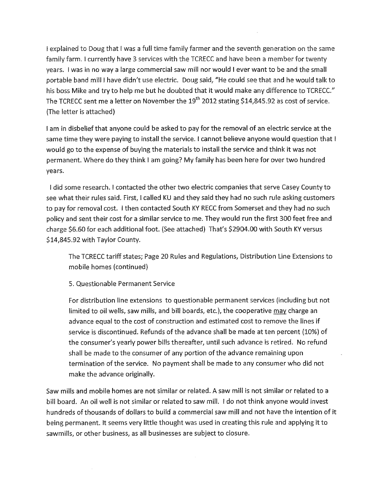I explained to Doug that I was a full time family farmer and the seventh generation on the same family farm. I currently have **3** services with the TCRECC and have been a member for twenty years. I was in no way a large commercial saw mill nor would **I** ever want to be and the small portable band mill I have didn't use electric. Doug said, "He could see that and he would talk to his boss Mike and try to help me but he doubted that it would make any difference to TCRECC." The TCRECC sent me a letter on November the 19<sup>th</sup> 2012 stating \$14,845.92 as cost of service. (The letter is attached)

I am in disbelief that anyone could be asked to pay for the removal of an electric service at the same time they were paying to install the service. **I** cannot believe anyone would question that <sup>t</sup> would go to the expense of buying the materials to install the service and think it was not permanent. Where do they think **1** am going? My family has been here for over two hundred years.

I did some research. I contacted the other two electric companies that serve Casey County to see what their rules said. First, I called **KU** and they said they had no such rule asking customers to pay for removal cost. **I** then contacted South KY RECC from Somerset and they had no such policy and sent their cost for a similar service to me. They would run the first 300 feet free and charge \$6.60 for each additional foot. (See attached) That's \$2904.00 with South **KY** versus \$14,845.92 with Taylor County.

The TCRECC tariff states; Page 20 Rules and Regulations, Distribution Line Extensions to mobile homes (continued)

5. Questionable Permanent Service

For distribution line extensions to questionable permanent services (including but not limited to oil wells, saw mills, and bill boards, etc.), the cooperative may charge an advance equal to the cost of construction and estimated cost to remove the lines if service *is* discontinued. Refunds of the advance shall be made at ten percent (10%) of the consumer's yearly power bills thereafter, until such advance is retired. No refund shall be made to the consumer of any portion of the advance remaining upon termination of the service. No payment shall be made to any consumer who did not make the advance originally.

Saw mills and mobile homes are not similar or related. A saw mill is not similar or related to a bill board. An oil well is not similar or related to saw mill. **I** do not think anyone would invest hundreds of thousands of dollars to build a commercial saw mill and not have the intention of it being permanent. It seems very little thought was used in creating this rule and apptying it to sawmills, or other business, as all businesses are subject to closure.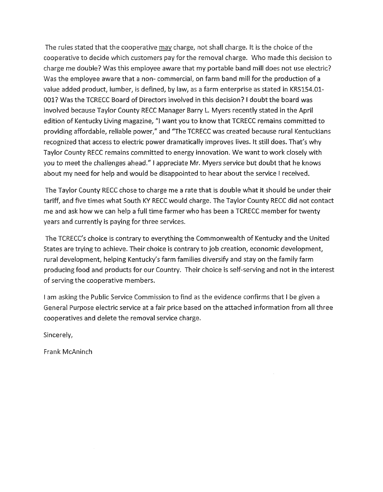The rules stated that the cooperative *may* charge, not shall charge. **ft** is the choice of the cooperative to decide which customers pay for the removal charge. Who made this decision to charge me double? Was this employee aware that my portable band mill does not use electric? Was the employee aware that a non- commercial, on farm band mill for the production of a value added product, lumber, is defined, by law, as a farm enterprise *as* stated in KRS154.01- OOl? Was the TCRECC Board of Directors involved in this decision? I doubt the board was involved because Taylor County RECC Manager Barry L. Myers recently stated in the April edition of Kentucky Living magazine, "1 want you to know that TCRECC remains committed to providing affordable, reliable power," and "The TCRECC was created because rural Kentuckians recognized that access to electric power dramatically improves lives. It still does. That's why Taylor County RECC remains committed to energy innovation. We want to work closely with *you* to meet the challenges ahead." **I** appreciate Mr. Myers service but doubt that he knows about my need for help and would be disappointed to hear about the service **I** received.

The Taylor County RECC chose to charge me a rate that is double what it should be under their tariff, and five times what South KY RECC would charge. The Taylor County RECC did not contact me and ask how we can help a full time farmer who has been a TCRECC member for twenty years and currently is paying for three services.

The TCRECC's choice is contrary to everything the Commonwealth of Kentucky and the llnited States are trying to achieve. Their choice is contrary to job creation, economic development, rural development, helping Kentucky's farm families diversify and stay on the family farm producing food and products for our Country. Their choice is self-serving and not in the interest of serving the cooperative members.

<sup>I</sup>am asking the Public Service Commission to find as the evidence confirms that I be given a General Purpose electric service at a fair price based on the attached information from ail three cooperatives and delete the removal service charge.

Sincerely,

Frank McAninch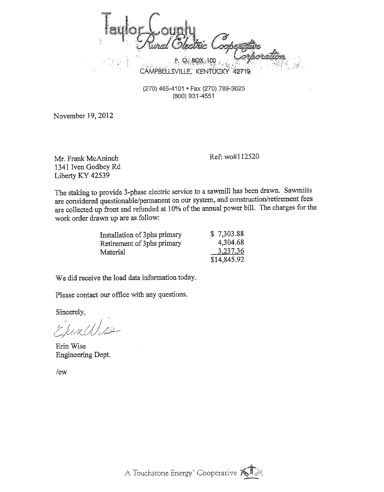$\overline{5}$ in 1 O. BOX 100 CAMPBELLSVILLE, KENTUCKY 42719

(270) 465-41 01 **e** Fax (270) 789-3625 (800) 931 -4551

November 19, 2012

**Mr.** Frank McAninch 1341 Iven Godbey Rd Liberty KY 42539

Ref: wo#11252O

The staking to provide 3-phase electric service to a sawmill has been drawn. Sawmilis are considered questionable/permanent on our system, and construction/retirement fees are collected up front and refunded at 10% of the annual power bill. The charges for the work order drawn up are as follow:

| Installation of 3phs primary | \$7,303.88  |
|------------------------------|-------------|
| Retirement of 3phs primary   | 4,304.68    |
| Material                     | 3.237.36    |
|                              | \$14,845.92 |

We did receive the load data information today.

Please contact our office with any questions.

Sincerely,

Ehrald

Erin Wise Engineering Dept.

/ew

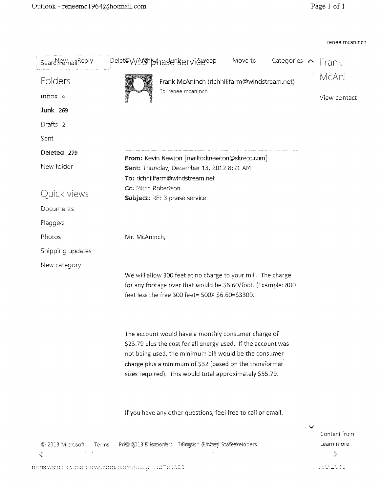renee mcaninch

| Searchet MailReply                               | peletFWAr3hbhasenserviéereep<br>Move to<br>Categories A Frank                                                                                                                                                                                                                                         |        |                             |
|--------------------------------------------------|-------------------------------------------------------------------------------------------------------------------------------------------------------------------------------------------------------------------------------------------------------------------------------------------------------|--------|-----------------------------|
| Folders                                          | Frank McAninch (richhillfarm@windstream.net)                                                                                                                                                                                                                                                          |        | McAni                       |
| INDOX 4                                          | To: renee mcaninch                                                                                                                                                                                                                                                                                    |        | View contact                |
| <b>Junk 269</b>                                  |                                                                                                                                                                                                                                                                                                       |        |                             |
| Drafts 2                                         |                                                                                                                                                                                                                                                                                                       |        |                             |
| Sent                                             |                                                                                                                                                                                                                                                                                                       |        |                             |
| Deleted 279                                      | From: Kevin Newton [mailto:knewton@skrecc.com]                                                                                                                                                                                                                                                        |        |                             |
| New folder                                       | Sent: Thursday, December 13, 2012 8:21 AM<br>To: richhillfarm@windstream.net                                                                                                                                                                                                                          |        |                             |
| Quick views                                      | Cc: Mitch Robertson<br>Subject: RE: 3 phase service                                                                                                                                                                                                                                                   |        |                             |
| Documents                                        |                                                                                                                                                                                                                                                                                                       |        |                             |
| Flagged                                          |                                                                                                                                                                                                                                                                                                       |        |                             |
| Photos                                           | Mr. McAninch,                                                                                                                                                                                                                                                                                         |        |                             |
| Shipping updates                                 |                                                                                                                                                                                                                                                                                                       |        |                             |
| New category                                     | We will allow 300 feet at no charge to your mill. The charge<br>for any footage over that would be \$6.60/foot. (Example: 800<br>feet less the free 300 feet= 500X \$6.60=\$3300.                                                                                                                     |        |                             |
|                                                  | The account would have a monthly consumer charge of<br>\$23.79 plus the cost for all energy used. If the account was<br>not being used, the minimum bill would be the consumer<br>charge plus a minimum of \$32 (based on the transformer<br>sizes required). This would total approximately \$55.79. |        |                             |
|                                                  | If you have any other questions, feel free to call or email.                                                                                                                                                                                                                                          | فيرينا | Content from                |
| © 2013 Microsoft<br>Terms<br>$\hat{\mathcal{C}}$ | Pri@c013 Diavadopfars Temmatish (Phitanof States) elopers                                                                                                                                                                                                                                             |        | Learn more<br>$\mathcal{L}$ |
|                                                  | nubsizioni la maniveleoni defautilitzi i auto 1855                                                                                                                                                                                                                                                    |        | 1,10,2013                   |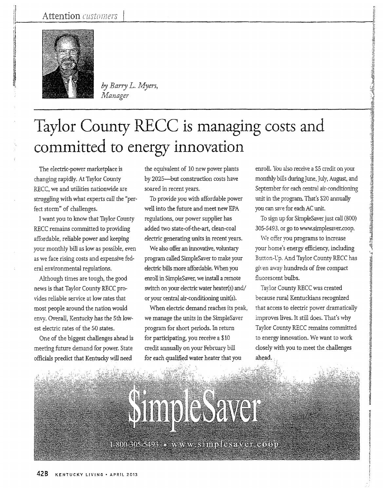

by Barry L. Myers, Manager

# Taylor County RECC is managing costs and committed to energy innovation

The electric-power marketplace is changing rapidly. At Taylor County RECC, we and utilities nationwide are struggling with what experts call the "perfect storm" of challenges.

I want you to know that Taylor County RECC remains committed to providing affordable, reliable power and keeping your monthly bill as low as possible, even as we face rising costs and expensive federal environmental regulations.

Although times are tough, the good news is that Taylor County RECC provides reliable service at low rates that most people around the nation would envy. Overall, Kentucky has the 5th lowest electric rates of the 50 states.

One of the biggest challenges ahead is meeting future demand for power. State officials preclict that Kentucky will need

the equivalent of 10 new power plants by 2025-but construction costs have soared in recent years.

well into the fiiture and meet new EPA regulations, our power supplier has added two state-of-the-art, clean-coal electric generating units *in* recent years. To provide you with affordable power

We also offer an innovative, voluntary program called SimpleSaver to make your electric bills more affordable. When you enroll in Simplesaver, we install a remote switch on your electric water heater(s) and/ or your central air-conditioning unit(s).

When electric demand reaches its peak, we manage the units in the SimpleSaver program for short periods. In return for participating, you receive a \$10 credit annually on your February bill for each qualified water heater that you

enroll. You also receive a \$5 credit on your monthly bills during June, July, August, and September for each central air-conditioning unit in the program. That's \$20 annually you can save for each AC unit.

2048年前3049年前第一次,1999年1月,1999年,1999年,1999年,1999年,1999年,1999年,1999年,1999年,1999年,1999年,1999年,1999年,1999 年,1999年,1

To sign up for SimpleSaver just call (800) 305-5493. or go to www.simplesaver.coop.

We offer you programs to increase your horne's energy efficiency, including Button-L'p. And Taylor County RECC has given away hundreds of free compact fluorescent bulbs.

Taylor County RECC was created because rural Kentuckians recognized that access to electric power dramatically improves lives. It still does. That's why Taylor County RECC remains committed to energy innovation. We want to work closely with you to meet the challenges ahead.

1-300-305-5493, o. www.wastiniplesetver.com